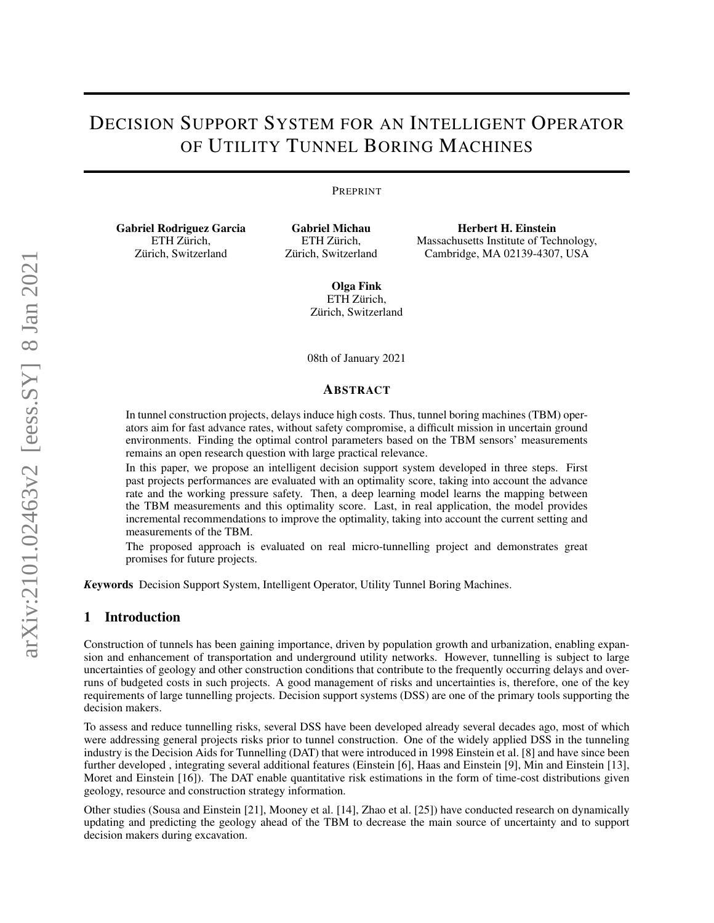# DECISION SUPPORT SYSTEM FOR AN INTELLIGENT OPERATOR OF UTILITY TUNNEL BORING MACHINES

#### PREPRINT

Gabriel Rodriguez Garcia ETH Zürich, Zürich, Switzerland

Gabriel Michau ETH Zürich, Zürich, Switzerland

Herbert H. Einstein Massachusetts Institute of Technology, Cambridge, MA 02139-4307, USA

Olga Fink ETH Zürich, Zürich, Switzerland

08th of January 2021

#### ABSTRACT

In tunnel construction projects, delays induce high costs. Thus, tunnel boring machines (TBM) operators aim for fast advance rates, without safety compromise, a difficult mission in uncertain ground environments. Finding the optimal control parameters based on the TBM sensors' measurements remains an open research question with large practical relevance.

In this paper, we propose an intelligent decision support system developed in three steps. First past projects performances are evaluated with an optimality score, taking into account the advance rate and the working pressure safety. Then, a deep learning model learns the mapping between the TBM measurements and this optimality score. Last, in real application, the model provides incremental recommendations to improve the optimality, taking into account the current setting and measurements of the TBM.

The proposed approach is evaluated on real micro-tunnelling project and demonstrates great promises for future projects.

*K*eywords Decision Support System, Intelligent Operator, Utility Tunnel Boring Machines.

# 1 Introduction

Construction of tunnels has been gaining importance, driven by population growth and urbanization, enabling expansion and enhancement of transportation and underground utility networks. However, tunnelling is subject to large uncertainties of geology and other construction conditions that contribute to the frequently occurring delays and overruns of budgeted costs in such projects. A good management of risks and uncertainties is, therefore, one of the key requirements of large tunnelling projects. Decision support systems (DSS) are one of the primary tools supporting the decision makers.

To assess and reduce tunnelling risks, several DSS have been developed already several decades ago, most of which were addressing general projects risks prior to tunnel construction. One of the widely applied DSS in the tunneling industry is the Decision Aids for Tunnelling (DAT) that were introduced in 1998 Einstein et al. [\[8\]](#page-15-0) and have since been further developed , integrating several additional features (Einstein [\[6\]](#page-15-1), Haas and Einstein [\[9\]](#page-15-2), Min and Einstein [\[13\]](#page-15-3), Moret and Einstein [\[16\]](#page-15-4)). The DAT enable quantitative risk estimations in the form of time-cost distributions given geology, resource and construction strategy information.

Other studies (Sousa and Einstein [\[21\]](#page-15-5), Mooney et al. [\[14\]](#page-15-6), Zhao et al. [\[25\]](#page-16-0)) have conducted research on dynamically updating and predicting the geology ahead of the TBM to decrease the main source of uncertainty and to support decision makers during excavation.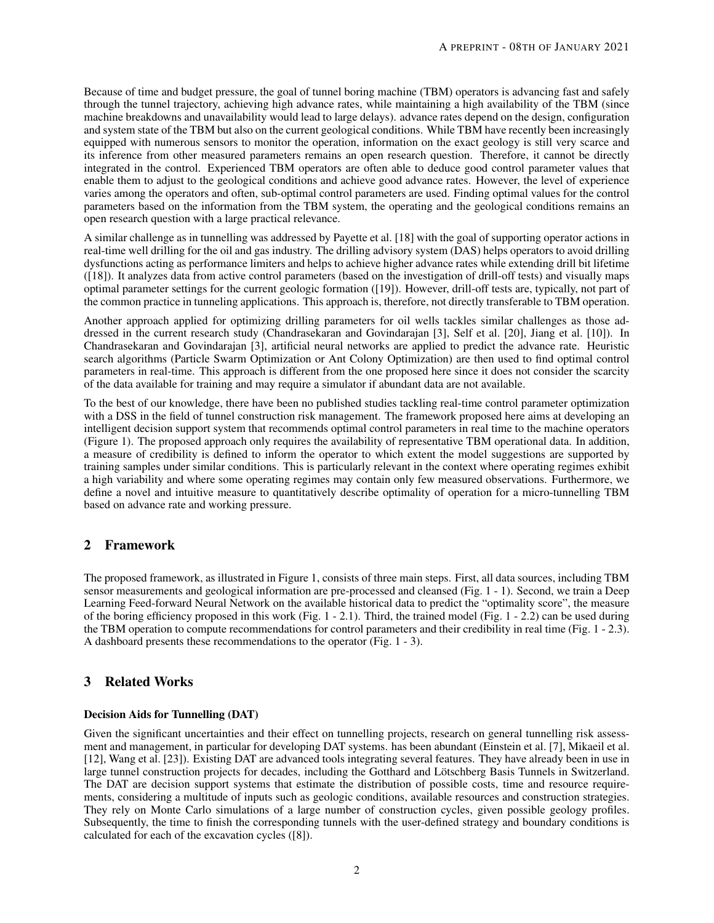Because of time and budget pressure, the goal of tunnel boring machine (TBM) operators is advancing fast and safely through the tunnel trajectory, achieving high advance rates, while maintaining a high availability of the TBM (since machine breakdowns and unavailability would lead to large delays). advance rates depend on the design, configuration and system state of the TBM but also on the current geological conditions. While TBM have recently been increasingly equipped with numerous sensors to monitor the operation, information on the exact geology is still very scarce and its inference from other measured parameters remains an open research question. Therefore, it cannot be directly integrated in the control. Experienced TBM operators are often able to deduce good control parameter values that enable them to adjust to the geological conditions and achieve good advance rates. However, the level of experience varies among the operators and often, sub-optimal control parameters are used. Finding optimal values for the control parameters based on the information from the TBM system, the operating and the geological conditions remains an open research question with a large practical relevance.

A similar challenge as in tunnelling was addressed by Payette et al. [\[18\]](#page-15-7) with the goal of supporting operator actions in real-time well drilling for the oil and gas industry. The drilling advisory system (DAS) helps operators to avoid drilling dysfunctions acting as performance limiters and helps to achieve higher advance rates while extending drill bit lifetime ([\[18\]](#page-15-7)). It analyzes data from active control parameters (based on the investigation of drill-off tests) and visually maps optimal parameter settings for the current geologic formation ([\[19\]](#page-15-8)). However, drill-off tests are, typically, not part of the common practice in tunneling applications. This approach is, therefore, not directly transferable to TBM operation.

Another approach applied for optimizing drilling parameters for oil wells tackles similar challenges as those addressed in the current research study (Chandrasekaran and Govindarajan [\[3\]](#page-14-0), Self et al. [\[20\]](#page-15-9), Jiang et al. [\[10\]](#page-15-10)). In Chandrasekaran and Govindarajan [\[3\]](#page-14-0), artificial neural networks are applied to predict the advance rate. Heuristic search algorithms (Particle Swarm Optimization or Ant Colony Optimization) are then used to find optimal control parameters in real-time. This approach is different from the one proposed here since it does not consider the scarcity of the data available for training and may require a simulator if abundant data are not available.

To the best of our knowledge, there have been no published studies tackling real-time control parameter optimization with a DSS in the field of tunnel construction risk management. The framework proposed here aims at developing an intelligent decision support system that recommends optimal control parameters in real time to the machine operators (Figure [1\)](#page-2-0). The proposed approach only requires the availability of representative TBM operational data. In addition, a measure of credibility is defined to inform the operator to which extent the model suggestions are supported by training samples under similar conditions. This is particularly relevant in the context where operating regimes exhibit a high variability and where some operating regimes may contain only few measured observations. Furthermore, we define a novel and intuitive measure to quantitatively describe optimality of operation for a micro-tunnelling TBM based on advance rate and working pressure.

# 2 Framework

The proposed framework, as illustrated in Figure [1,](#page-2-0) consists of three main steps. First, all data sources, including TBM sensor measurements and geological information are pre-processed and cleansed (Fig. [1](#page-2-0) - 1). Second, we train a Deep Learning Feed-forward Neural Network on the available historical data to predict the "optimality score", the measure of the boring efficiency proposed in this work (Fig. [1](#page-2-0) - 2.1). Third, the trained model (Fig. [1](#page-2-0) - 2.2) can be used during the TBM operation to compute recommendations for control parameters and their credibility in real time (Fig. [1](#page-2-0) - 2.3). A dashboard presents these recommendations to the operator (Fig. [1](#page-2-0) - 3).

# 3 Related Works

## Decision Aids for Tunnelling (DAT)

Given the significant uncertainties and their effect on tunnelling projects, research on general tunnelling risk assessment and management, in particular for developing DAT systems. has been abundant (Einstein et al. [\[7\]](#page-15-11), Mikaeil et al. [\[12\]](#page-15-12), Wang et al. [\[23\]](#page-15-13)). Existing DAT are advanced tools integrating several features. They have already been in use in large tunnel construction projects for decades, including the Gotthard and Lötschberg Basis Tunnels in Switzerland. The DAT are decision support systems that estimate the distribution of possible costs, time and resource requirements, considering a multitude of inputs such as geologic conditions, available resources and construction strategies. They rely on Monte Carlo simulations of a large number of construction cycles, given possible geology profiles. Subsequently, the time to finish the corresponding tunnels with the user-defined strategy and boundary conditions is calculated for each of the excavation cycles ([\[8\]](#page-15-0)).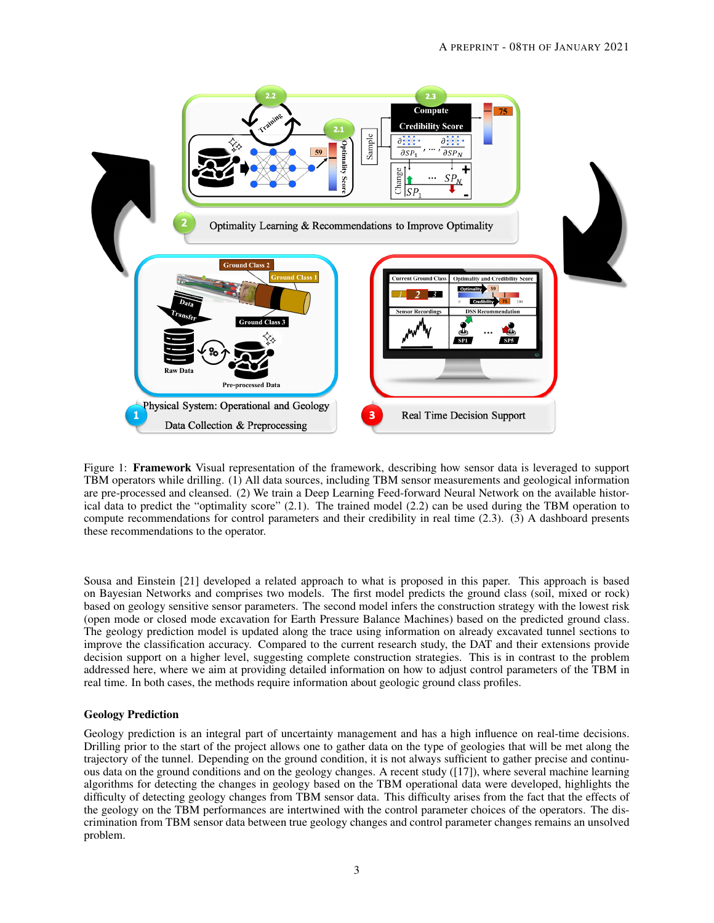

<span id="page-2-0"></span>Figure 1: **Framework** Visual representation of the framework, describing how sensor data is leveraged to support TBM operators while drilling. (1) All data sources, including TBM sensor measurements and geological information are pre-processed and cleansed. (2) We train a Deep Learning Feed-forward Neural Network on the available historical data to predict the "optimality score" (2.1). The trained model (2.2) can be used during the TBM operation to compute recommendations for control parameters and their credibility in real time (2.3). (3) A dashboard presents these recommendations to the operator.

Sousa and Einstein [\[21\]](#page-15-5) developed a related approach to what is proposed in this paper. This approach is based on Bayesian Networks and comprises two models. The first model predicts the ground class (soil, mixed or rock) based on geology sensitive sensor parameters. The second model infers the construction strategy with the lowest risk (open mode or closed mode excavation for Earth Pressure Balance Machines) based on the predicted ground class. The geology prediction model is updated along the trace using information on already excavated tunnel sections to improve the classification accuracy. Compared to the current research study, the DAT and their extensions provide decision support on a higher level, suggesting complete construction strategies. This is in contrast to the problem addressed here, where we aim at providing detailed information on how to adjust control parameters of the TBM in real time. In both cases, the methods require information about geologic ground class profiles.

## Geology Prediction

Geology prediction is an integral part of uncertainty management and has a high influence on real-time decisions. Drilling prior to the start of the project allows one to gather data on the type of geologies that will be met along the trajectory of the tunnel. Depending on the ground condition, it is not always sufficient to gather precise and continuous data on the ground conditions and on the geology changes. A recent study ([\[17\]](#page-15-14)), where several machine learning algorithms for detecting the changes in geology based on the TBM operational data were developed, highlights the difficulty of detecting geology changes from TBM sensor data. This difficulty arises from the fact that the effects of the geology on the TBM performances are intertwined with the control parameter choices of the operators. The discrimination from TBM sensor data between true geology changes and control parameter changes remains an unsolved problem.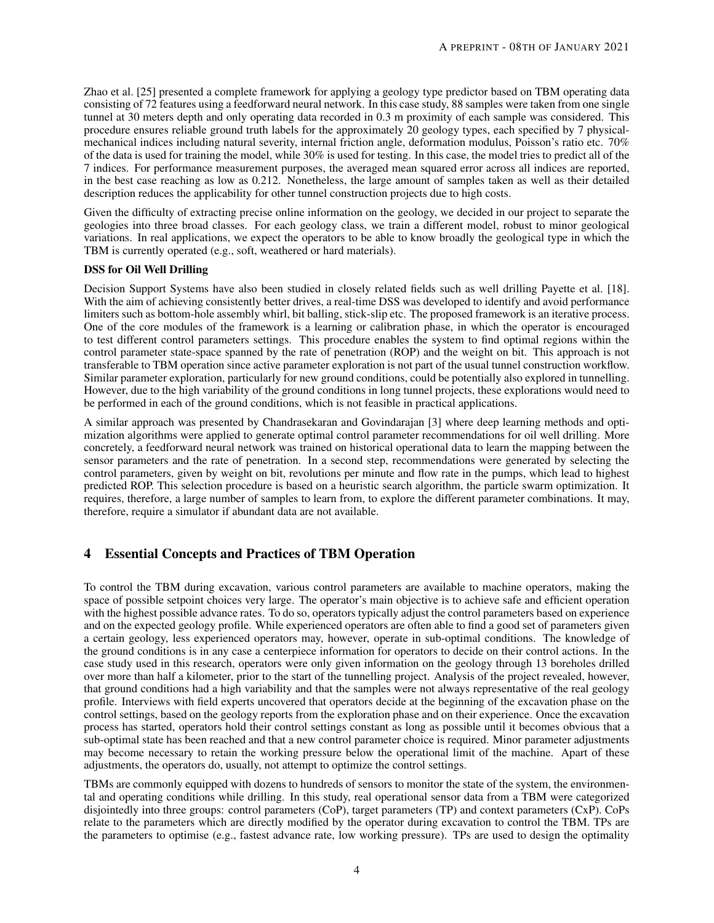Zhao et al. [\[25\]](#page-16-0) presented a complete framework for applying a geology type predictor based on TBM operating data consisting of 72 features using a feedforward neural network. In this case study, 88 samples were taken from one single tunnel at 30 meters depth and only operating data recorded in 0.3 m proximity of each sample was considered. This procedure ensures reliable ground truth labels for the approximately 20 geology types, each specified by 7 physicalmechanical indices including natural severity, internal friction angle, deformation modulus, Poisson's ratio etc. 70% of the data is used for training the model, while 30% is used for testing. In this case, the model tries to predict all of the 7 indices. For performance measurement purposes, the averaged mean squared error across all indices are reported, in the best case reaching as low as 0.212. Nonetheless, the large amount of samples taken as well as their detailed description reduces the applicability for other tunnel construction projects due to high costs.

Given the difficulty of extracting precise online information on the geology, we decided in our project to separate the geologies into three broad classes. For each geology class, we train a different model, robust to minor geological variations. In real applications, we expect the operators to be able to know broadly the geological type in which the TBM is currently operated (e.g., soft, weathered or hard materials).

# DSS for Oil Well Drilling

Decision Support Systems have also been studied in closely related fields such as well drilling Payette et al. [\[18\]](#page-15-7). With the aim of achieving consistently better drives, a real-time DSS was developed to identify and avoid performance limiters such as bottom-hole assembly whirl, bit balling, stick-slip etc. The proposed framework is an iterative process. One of the core modules of the framework is a learning or calibration phase, in which the operator is encouraged to test different control parameters settings. This procedure enables the system to find optimal regions within the control parameter state-space spanned by the rate of penetration (ROP) and the weight on bit. This approach is not transferable to TBM operation since active parameter exploration is not part of the usual tunnel construction workflow. Similar parameter exploration, particularly for new ground conditions, could be potentially also explored in tunnelling. However, due to the high variability of the ground conditions in long tunnel projects, these explorations would need to be performed in each of the ground conditions, which is not feasible in practical applications.

A similar approach was presented by Chandrasekaran and Govindarajan [\[3\]](#page-14-0) where deep learning methods and optimization algorithms were applied to generate optimal control parameter recommendations for oil well drilling. More concretely, a feedforward neural network was trained on historical operational data to learn the mapping between the sensor parameters and the rate of penetration. In a second step, recommendations were generated by selecting the control parameters, given by weight on bit, revolutions per minute and flow rate in the pumps, which lead to highest predicted ROP. This selection procedure is based on a heuristic search algorithm, the particle swarm optimization. It requires, therefore, a large number of samples to learn from, to explore the different parameter combinations. It may, therefore, require a simulator if abundant data are not available.

# <span id="page-3-0"></span>4 Essential Concepts and Practices of TBM Operation

To control the TBM during excavation, various control parameters are available to machine operators, making the space of possible setpoint choices very large. The operator's main objective is to achieve safe and efficient operation with the highest possible advance rates. To do so, operators typically adjust the control parameters based on experience and on the expected geology profile. While experienced operators are often able to find a good set of parameters given a certain geology, less experienced operators may, however, operate in sub-optimal conditions. The knowledge of the ground conditions is in any case a centerpiece information for operators to decide on their control actions. In the case study used in this research, operators were only given information on the geology through 13 boreholes drilled over more than half a kilometer, prior to the start of the tunnelling project. Analysis of the project revealed, however, that ground conditions had a high variability and that the samples were not always representative of the real geology profile. Interviews with field experts uncovered that operators decide at the beginning of the excavation phase on the control settings, based on the geology reports from the exploration phase and on their experience. Once the excavation process has started, operators hold their control settings constant as long as possible until it becomes obvious that a sub-optimal state has been reached and that a new control parameter choice is required. Minor parameter adjustments may become necessary to retain the working pressure below the operational limit of the machine. Apart of these adjustments, the operators do, usually, not attempt to optimize the control settings.

TBMs are commonly equipped with dozens to hundreds of sensors to monitor the state of the system, the environmental and operating conditions while drilling. In this study, real operational sensor data from a TBM were categorized disjointedly into three groups: control parameters (CoP), target parameters (TP) and context parameters (CxP). CoPs relate to the parameters which are directly modified by the operator during excavation to control the TBM. TPs are the parameters to optimise (e.g., fastest advance rate, low working pressure). TPs are used to design the optimality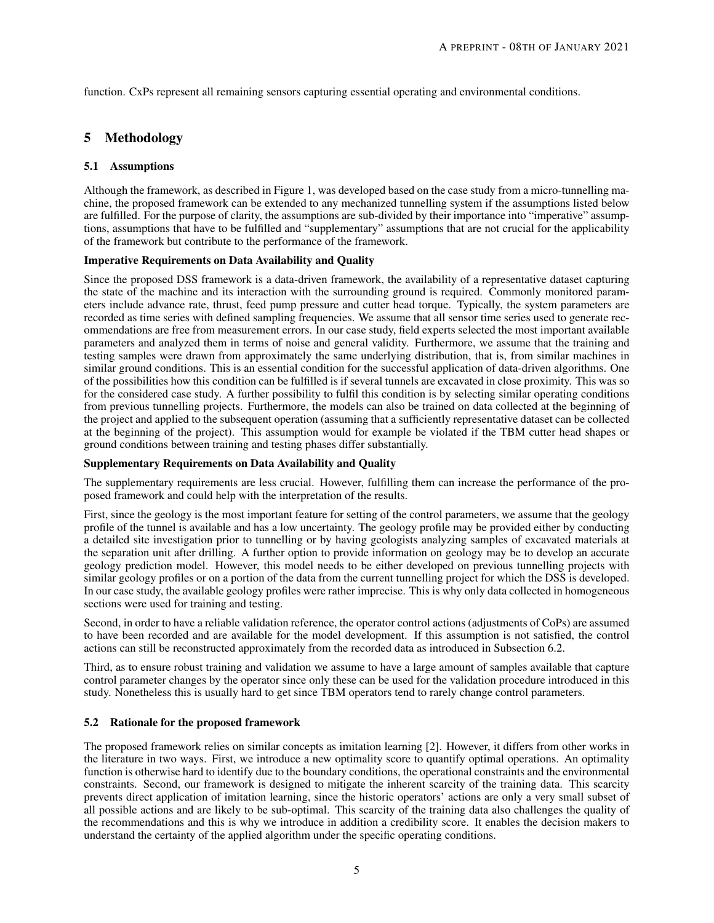function. CxPs represent all remaining sensors capturing essential operating and environmental conditions.

# 5 Methodology

## 5.1 Assumptions

Although the framework, as described in Figure [1,](#page-2-0) was developed based on the case study from a micro-tunnelling machine, the proposed framework can be extended to any mechanized tunnelling system if the assumptions listed below are fulfilled. For the purpose of clarity, the assumptions are sub-divided by their importance into "imperative" assumptions, assumptions that have to be fulfilled and "supplementary" assumptions that are not crucial for the applicability of the framework but contribute to the performance of the framework.

#### Imperative Requirements on Data Availability and Quality

Since the proposed DSS framework is a data-driven framework, the availability of a representative dataset capturing the state of the machine and its interaction with the surrounding ground is required. Commonly monitored parameters include advance rate, thrust, feed pump pressure and cutter head torque. Typically, the system parameters are recorded as time series with defined sampling frequencies. We assume that all sensor time series used to generate recommendations are free from measurement errors. In our case study, field experts selected the most important available parameters and analyzed them in terms of noise and general validity. Furthermore, we assume that the training and testing samples were drawn from approximately the same underlying distribution, that is, from similar machines in similar ground conditions. This is an essential condition for the successful application of data-driven algorithms. One of the possibilities how this condition can be fulfilled is if several tunnels are excavated in close proximity. This was so for the considered case study. A further possibility to fulfil this condition is by selecting similar operating conditions from previous tunnelling projects. Furthermore, the models can also be trained on data collected at the beginning of the project and applied to the subsequent operation (assuming that a sufficiently representative dataset can be collected at the beginning of the project). This assumption would for example be violated if the TBM cutter head shapes or ground conditions between training and testing phases differ substantially.

#### Supplementary Requirements on Data Availability and Quality

The supplementary requirements are less crucial. However, fulfilling them can increase the performance of the proposed framework and could help with the interpretation of the results.

First, since the geology is the most important feature for setting of the control parameters, we assume that the geology profile of the tunnel is available and has a low uncertainty. The geology profile may be provided either by conducting a detailed site investigation prior to tunnelling or by having geologists analyzing samples of excavated materials at the separation unit after drilling. A further option to provide information on geology may be to develop an accurate geology prediction model. However, this model needs to be either developed on previous tunnelling projects with similar geology profiles or on a portion of the data from the current tunnelling project for which the DSS is developed. In our case study, the available geology profiles were rather imprecise. This is why only data collected in homogeneous sections were used for training and testing.

Second, in order to have a reliable validation reference, the operator control actions (adjustments of CoPs) are assumed to have been recorded and are available for the model development. If this assumption is not satisfied, the control actions can still be reconstructed approximately from the recorded data as introduced in Subsection [6.2.](#page-7-0)

Third, as to ensure robust training and validation we assume to have a large amount of samples available that capture control parameter changes by the operator since only these can be used for the validation procedure introduced in this study. Nonetheless this is usually hard to get since TBM operators tend to rarely change control parameters.

## 5.2 Rationale for the proposed framework

The proposed framework relies on similar concepts as imitation learning [\[2\]](#page-14-1). However, it differs from other works in the literature in two ways. First, we introduce a new optimality score to quantify optimal operations. An optimality function is otherwise hard to identify due to the boundary conditions, the operational constraints and the environmental constraints. Second, our framework is designed to mitigate the inherent scarcity of the training data. This scarcity prevents direct application of imitation learning, since the historic operators' actions are only a very small subset of all possible actions and are likely to be sub-optimal. This scarcity of the training data also challenges the quality of the recommendations and this is why we introduce in addition a credibility score. It enables the decision makers to understand the certainty of the applied algorithm under the specific operating conditions.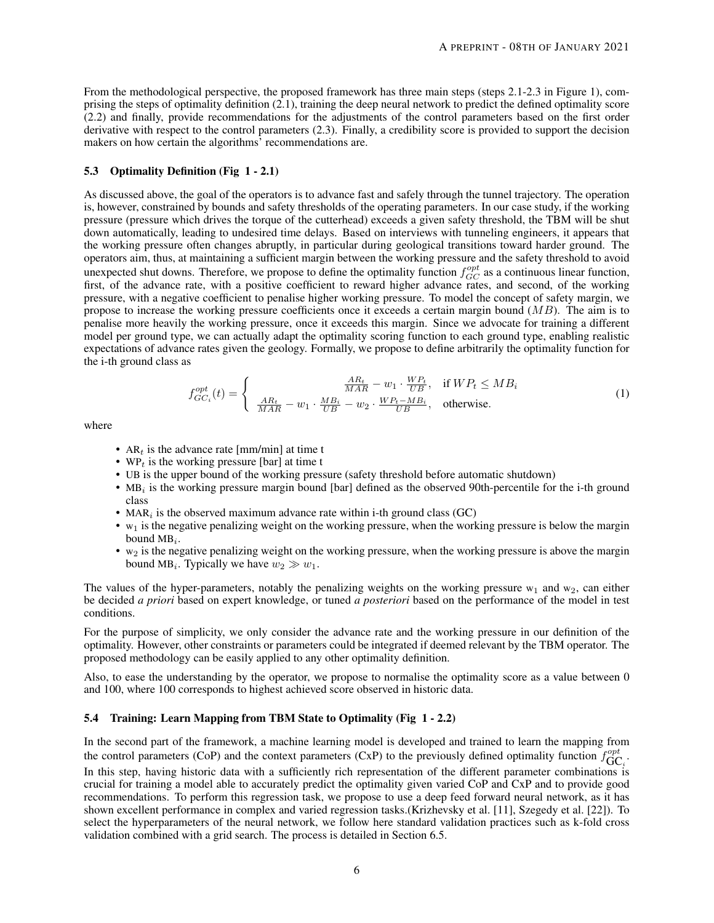From the methodological perspective, the proposed framework has three main steps (steps 2.1-2.3 in Figure [1\)](#page-2-0), comprising the steps of optimality definition (2.1), training the deep neural network to predict the defined optimality score (2.2) and finally, provide recommendations for the adjustments of the control parameters based on the first order derivative with respect to the control parameters (2.3). Finally, a credibility score is provided to support the decision makers on how certain the algorithms' recommendations are.

## <span id="page-5-0"></span>5.3 Optimality Definition (Fig [1](#page-2-0) - 2.1)

As discussed above, the goal of the operators is to advance fast and safely through the tunnel trajectory. The operation is, however, constrained by bounds and safety thresholds of the operating parameters. In our case study, if the working pressure (pressure which drives the torque of the cutterhead) exceeds a given safety threshold, the TBM will be shut down automatically, leading to undesired time delays. Based on interviews with tunneling engineers, it appears that the working pressure often changes abruptly, in particular during geological transitions toward harder ground. The operators aim, thus, at maintaining a sufficient margin between the working pressure and the safety threshold to avoid unexpected shut downs. Therefore, we propose to define the optimality function  $f_{GC}^{opt}$  as a continuous linear function, first, of the advance rate, with a positive coefficient to reward higher advance rates, and second, of the working pressure, with a negative coefficient to penalise higher working pressure. To model the concept of safety margin, we propose to increase the working pressure coefficients once it exceeds a certain margin bound  $(MB)$ . The aim is to penalise more heavily the working pressure, once it exceeds this margin. Since we advocate for training a different model per ground type, we can actually adapt the optimality scoring function to each ground type, enabling realistic expectations of advance rates given the geology. Formally, we propose to define arbitrarily the optimality function for the i-th ground class as

$$
f_{GC_i}^{opt}(t) = \begin{cases} \frac{AR_t}{MAR} - w_1 \cdot \frac{WP_t}{UB}, & \text{if } WP_t \le MB_i\\ \frac{AR_t}{MAR} - w_1 \cdot \frac{MB_i}{UB} - w_2 \cdot \frac{WP_t - MB_i}{UB}, & \text{otherwise.} \end{cases}
$$
(1)

where

- AR<sub>t</sub> is the advance rate [mm/min] at time t
- WP $_t$  is the working pressure [bar] at time t
- UB is the upper bound of the working pressure (safety threshold before automatic shutdown)
- MB<sub>i</sub> is the working pressure margin bound [bar] defined as the observed 90th-percentile for the i-th ground class
- MAR<sub>i</sub> is the observed maximum advance rate within i-th ground class  $(GC)$
- $\bullet$  w<sub>1</sub> is the negative penalizing weight on the working pressure, when the working pressure is below the margin bound  $MB_i$ .
- $\bullet$  w<sub>2</sub> is the negative penalizing weight on the working pressure, when the working pressure is above the margin bound MB<sub>i</sub>. Typically we have  $w_2 \gg w_1$ .

The values of the hyper-parameters, notably the penalizing weights on the working pressure  $w_1$  and  $w_2$ , can either be decided *a priori* based on expert knowledge, or tuned *a posteriori* based on the performance of the model in test conditions.

For the purpose of simplicity, we only consider the advance rate and the working pressure in our definition of the optimality. However, other constraints or parameters could be integrated if deemed relevant by the TBM operator. The proposed methodology can be easily applied to any other optimality definition.

Also, to ease the understanding by the operator, we propose to normalise the optimality score as a value between 0 and 100, where 100 corresponds to highest achieved score observed in historic data.

# 5.4 Training: Learn Mapping from TBM State to Optimality (Fig [1](#page-2-0) - 2.2)

In the second part of the framework, a machine learning model is developed and trained to learn the mapping from the control parameters (CoP) and the context parameters (CxP) to the previously defined optimality function  $f_{\text{GC}_i}^{opt}$ . In this step, having historic data with a sufficiently rich representation of the different parameter combinations is

crucial for training a model able to accurately predict the optimality given varied CoP and CxP and to provide good recommendations. To perform this regression task, we propose to use a deep feed forward neural network, as it has shown excellent performance in complex and varied regression tasks.(Krizhevsky et al. [\[11\]](#page-15-15), Szegedy et al. [\[22\]](#page-15-16)). To select the hyperparameters of the neural network, we follow here standard validation practices such as k-fold cross validation combined with a grid search. The process is detailed in Section [6.5.](#page-8-0)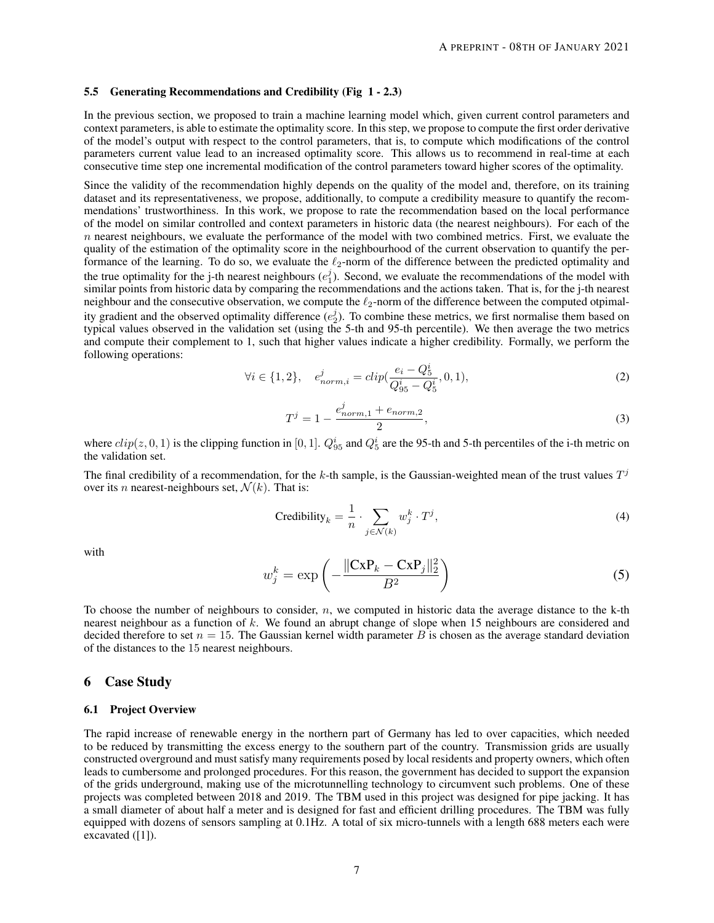#### <span id="page-6-0"></span>5.5 Generating Recommendations and Credibility (Fig [1](#page-2-0) - 2.3)

In the previous section, we proposed to train a machine learning model which, given current control parameters and context parameters, is able to estimate the optimality score. In this step, we propose to compute the first order derivative of the model's output with respect to the control parameters, that is, to compute which modifications of the control parameters current value lead to an increased optimality score. This allows us to recommend in real-time at each consecutive time step one incremental modification of the control parameters toward higher scores of the optimality.

Since the validity of the recommendation highly depends on the quality of the model and, therefore, on its training dataset and its representativeness, we propose, additionally, to compute a credibility measure to quantify the recommendations' trustworthiness. In this work, we propose to rate the recommendation based on the local performance of the model on similar controlled and context parameters in historic data (the nearest neighbours). For each of the  $n$  nearest neighbours, we evaluate the performance of the model with two combined metrics. First, we evaluate the quality of the estimation of the optimality score in the neighbourhood of the current observation to quantify the performance of the learning. To do so, we evaluate the  $\ell_2$ -norm of the difference between the predicted optimality and the true optimality for the j-th nearest neighbours  $(e_1^j)$ . Second, we evaluate the recommendations of the model with similar points from historic data by comparing the recommendations and the actions taken. That is, for the j-th nearest neighbour and the consecutive observation, we compute the  $\ell_2$ -norm of the difference between the computed otpimality gradient and the observed optimality difference  $(e_2^j)$ . To combine these metrics, we first normalise them based on typical values observed in the validation set (using the 5-th and 95-th percentile). We then average the two metrics and compute their complement to 1, such that higher values indicate a higher credibility. Formally, we perform the following operations:

$$
\forall i \in \{1, 2\}, \quad e_{norm,i}^j = clip(\frac{e_i - Q_5^i}{Q_{95}^i - Q_5^i}, 0, 1), \tag{2}
$$

$$
T^{j} = 1 - \frac{e_{norm,1}^{j} + e_{norm,2}}{2},
$$
\n(3)

where  $clip(z, 0, 1)$  is the clipping function in [0, 1].  $Q_{95}^i$  and  $Q_5^i$  are the 95-th and 5-th percentiles of the i-th metric on the validation set.

The final credibility of a recommendation, for the k-th sample, is the Gaussian-weighted mean of the trust values  $T^j$ over its *n* nearest-neighbours set,  $\mathcal{N}(k)$ . That is:

$$
\text{Credibility}_k = \frac{1}{n} \cdot \sum_{j \in \mathcal{N}(k)} w_j^k \cdot T^j,\tag{4}
$$

with

$$
w_j^k = \exp\left(-\frac{\|\mathbf{CxP}_k - \mathbf{CxP}_j\|_2^2}{B^2}\right) \tag{5}
$$

To choose the number of neighbours to consider,  $n$ , we computed in historic data the average distance to the k-th nearest neighbour as a function of k. We found an abrupt change of slope when 15 neighbours are considered and decided therefore to set  $n = 15$ . The Gaussian kernel width parameter B is chosen as the average standard deviation of the distances to the 15 nearest neighbours.

## 6 Case Study

#### 6.1 Project Overview

The rapid increase of renewable energy in the northern part of Germany has led to over capacities, which needed to be reduced by transmitting the excess energy to the southern part of the country. Transmission grids are usually constructed overground and must satisfy many requirements posed by local residents and property owners, which often leads to cumbersome and prolonged procedures. For this reason, the government has decided to support the expansion of the grids underground, making use of the microtunnelling technology to circumvent such problems. One of these projects was completed between 2018 and 2019. The TBM used in this project was designed for pipe jacking. It has a small diameter of about half a meter and is designed for fast and efficient drilling procedures. The TBM was fully equipped with dozens of sensors sampling at 0.1Hz. A total of six micro-tunnels with a length 688 meters each were excavated ([\[1\]](#page-14-2)).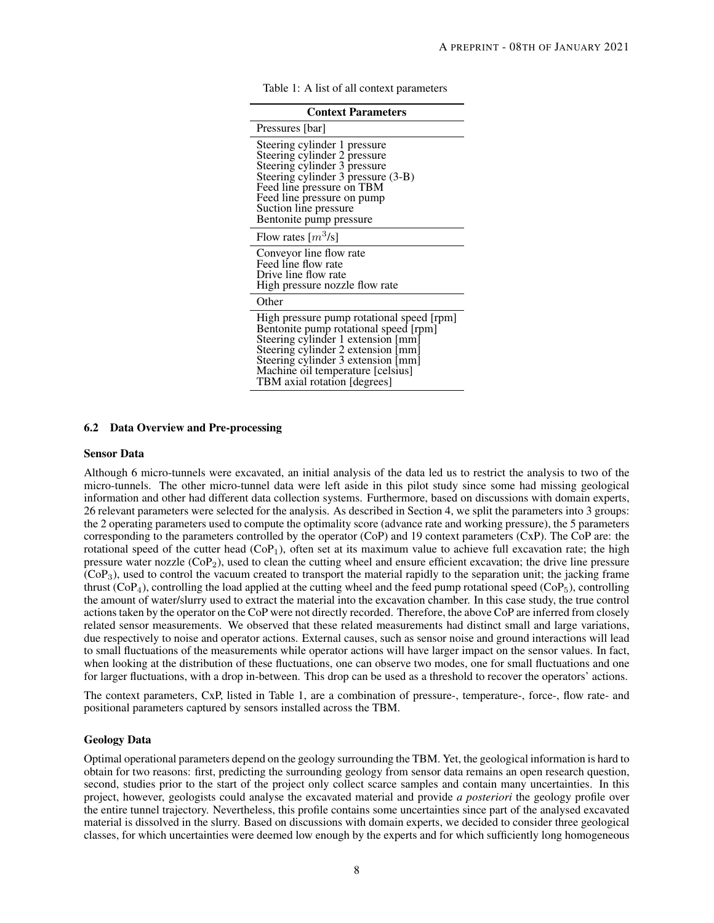<span id="page-7-1"></span>

| <b>Context Parameters</b>                                                                                                                                                                                                                         |
|---------------------------------------------------------------------------------------------------------------------------------------------------------------------------------------------------------------------------------------------------|
| Pressures [bar]                                                                                                                                                                                                                                   |
| Steering cylinder 1 pressure<br>Steering cylinder 2 pressure<br>Steering cylinder 3 pressure<br>Steering cylinder 3 pressure (3-B)<br>Feed line pressure on TBM<br>Feed line pressure on pump<br>Suction line pressure<br>Bentonite pump pressure |
| Flow rates $\lceil m^3/s \rceil$                                                                                                                                                                                                                  |
| Conveyor line flow rate<br>Feed line flow rate<br>Drive line flow rate<br>High pressure nozzle flow rate                                                                                                                                          |
| Other                                                                                                                                                                                                                                             |
| High pressure pump rotational speed [rpm]<br>Bentonite pump rotational speed [rpm]<br>Steering cylinder 1 extension [mm]<br>Steering cylinder 2 extension [mm]<br>Steering cylinder 3 extension [mm]<br>Machine oil temperature [celsius]         |

TBM axial rotation [degrees]

Table 1: A list of all context parameters

#### <span id="page-7-0"></span>6.2 Data Overview and Pre-processing

#### Sensor Data

Although 6 micro-tunnels were excavated, an initial analysis of the data led us to restrict the analysis to two of the micro-tunnels. The other micro-tunnel data were left aside in this pilot study since some had missing geological information and other had different data collection systems. Furthermore, based on discussions with domain experts, 26 relevant parameters were selected for the analysis. As described in Section [4,](#page-3-0) we split the parameters into 3 groups: the 2 operating parameters used to compute the optimality score (advance rate and working pressure), the 5 parameters corresponding to the parameters controlled by the operator (CoP) and 19 context parameters (CxP). The CoP are: the rotational speed of the cutter head  $(CoP_1)$ , often set at its maximum value to achieve full excavation rate; the high pressure water nozzle  $(CoP_2)$ , used to clean the cutting wheel and ensure efficient excavation; the drive line pressure  $(COP<sub>3</sub>)$ , used to control the vacuum created to transport the material rapidly to the separation unit; the jacking frame thrust  $(CoP_4)$ , controlling the load applied at the cutting wheel and the feed pump rotational speed (CoP<sub>5</sub>), controlling the amount of water/slurry used to extract the material into the excavation chamber. In this case study, the true control actions taken by the operator on the CoP were not directly recorded. Therefore, the above CoP are inferred from closely related sensor measurements. We observed that these related measurements had distinct small and large variations, due respectively to noise and operator actions. External causes, such as sensor noise and ground interactions will lead to small fluctuations of the measurements while operator actions will have larger impact on the sensor values. In fact, when looking at the distribution of these fluctuations, one can observe two modes, one for small fluctuations and one for larger fluctuations, with a drop in-between. This drop can be used as a threshold to recover the operators' actions.

The context parameters, CxP, listed in Table [1,](#page-7-1) are a combination of pressure-, temperature-, force-, flow rate- and positional parameters captured by sensors installed across the TBM.

#### Geology Data

Optimal operational parameters depend on the geology surrounding the TBM. Yet, the geological information is hard to obtain for two reasons: first, predicting the surrounding geology from sensor data remains an open research question, second, studies prior to the start of the project only collect scarce samples and contain many uncertainties. In this project, however, geologists could analyse the excavated material and provide *a posteriori* the geology profile over the entire tunnel trajectory. Nevertheless, this profile contains some uncertainties since part of the analysed excavated material is dissolved in the slurry. Based on discussions with domain experts, we decided to consider three geological classes, for which uncertainties were deemed low enough by the experts and for which sufficiently long homogeneous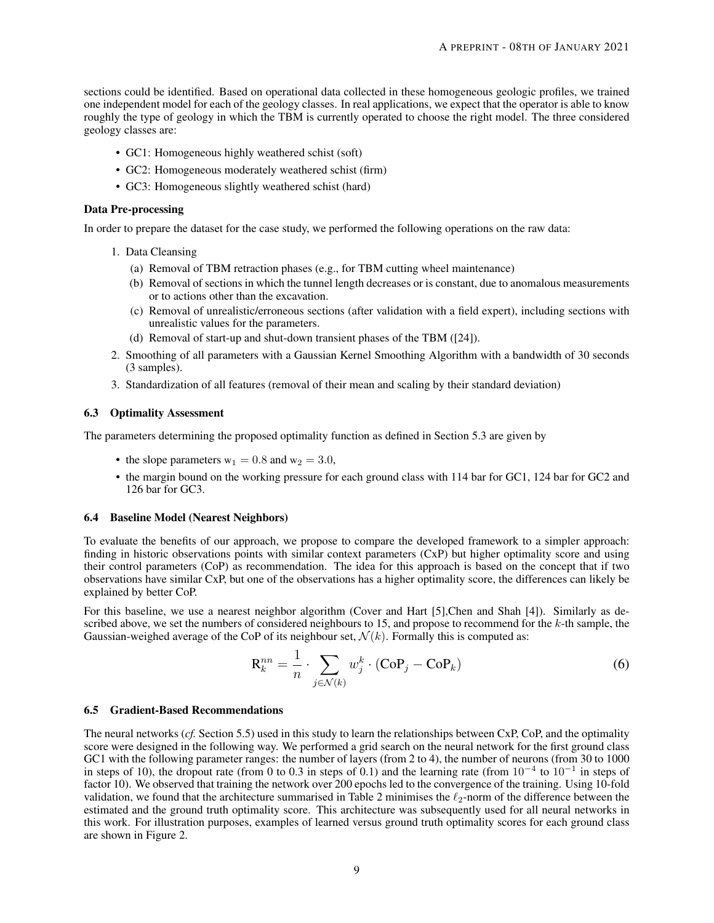sections could be identified. Based on operational data collected in these homogeneous geologic profiles, we trained one independent model for each of the geology classes. In real applications, we expect that the operator is able to know roughly the type of geology in which the TBM is currently operated to choose the right model. The three considered geology classes are:

- GC1: Homogeneous highly weathered schist (soft)
- GC2: Homogeneous moderately weathered schist (firm)
- GC3: Homogeneous slightly weathered schist (hard)

## Data Pre-processing

In order to prepare the dataset for the case study, we performed the following operations on the raw data:

- 1. Data Cleansing
	- (a) Removal of TBM retraction phases (e.g., for TBM cutting wheel maintenance)
	- (b) Removal of sections in which the tunnel length decreases or is constant, due to anomalous measurements or to actions other than the excavation.
	- (c) Removal of unrealistic/erroneous sections (after validation with a field expert), including sections with unrealistic values for the parameters.
	- (d) Removal of start-up and shut-down transient phases of the TBM ([\[24\]](#page-15-17)).
- 2. Smoothing of all parameters with a Gaussian Kernel Smoothing Algorithm with a bandwidth of 30 seconds (3 samples).
- 3. Standardization of all features (removal of their mean and scaling by their standard deviation)

#### 6.3 Optimality Assessment

The parameters determining the proposed optimality function as defined in Section [5.3](#page-5-0) are given by

- the slope parameters  $w_1 = 0.8$  and  $w_2 = 3.0$ ,
- the margin bound on the working pressure for each ground class with 114 bar for GC1, 124 bar for GC2 and 126 bar for GC3.

# 6.4 Baseline Model (Nearest Neighbors)

To evaluate the benefits of our approach, we propose to compare the developed framework to a simpler approach: finding in historic observations points with similar context parameters (CxP) but higher optimality score and using their control parameters (CoP) as recommendation. The idea for this approach is based on the concept that if two observations have similar CxP, but one of the observations has a higher optimality score, the differences can likely be explained by better CoP.

For this baseline, we use a nearest neighbor algorithm (Cover and Hart [\[5\]](#page-15-18),Chen and Shah [\[4\]](#page-14-3)). Similarly as described above, we set the numbers of considered neighbours to 15, and propose to recommend for the  $k$ -th sample, the Gaussian-weighed average of the CoP of its neighbour set,  $\mathcal{N}(k)$ . Formally this is computed as:

$$
\mathbf{R}_k^{nn} = \frac{1}{n} \cdot \sum_{j \in \mathcal{N}(k)} w_j^k \cdot (\mathbf{C} \mathbf{O} \mathbf{P}_j - \mathbf{C} \mathbf{O} \mathbf{P}_k) \tag{6}
$$

#### <span id="page-8-0"></span>6.5 Gradient-Based Recommendations

The neural networks (*cf.* Section [5.5\)](#page-6-0) used in this study to learn the relationships between CxP, CoP, and the optimality score were designed in the following way. We performed a grid search on the neural network for the first ground class GC1 with the following parameter ranges: the number of layers (from 2 to 4), the number of neurons (from 30 to 1000 in steps of 10), the dropout rate (from 0 to 0.3 in steps of 0.1) and the learning rate (from  $10^{-4}$  to  $10^{-1}$  in steps of factor 10). We observed that training the network over 200 epochs led to the convergence of the training. Using 10-fold validation, we found that the architecture summarised in Table [2](#page-9-0) minimises the  $\ell_2$ -norm of the difference between the estimated and the ground truth optimality score. This architecture was subsequently used for all neural networks in this work. For illustration purposes, examples of learned versus ground truth optimality scores for each ground class are shown in Figure [2.](#page-9-1)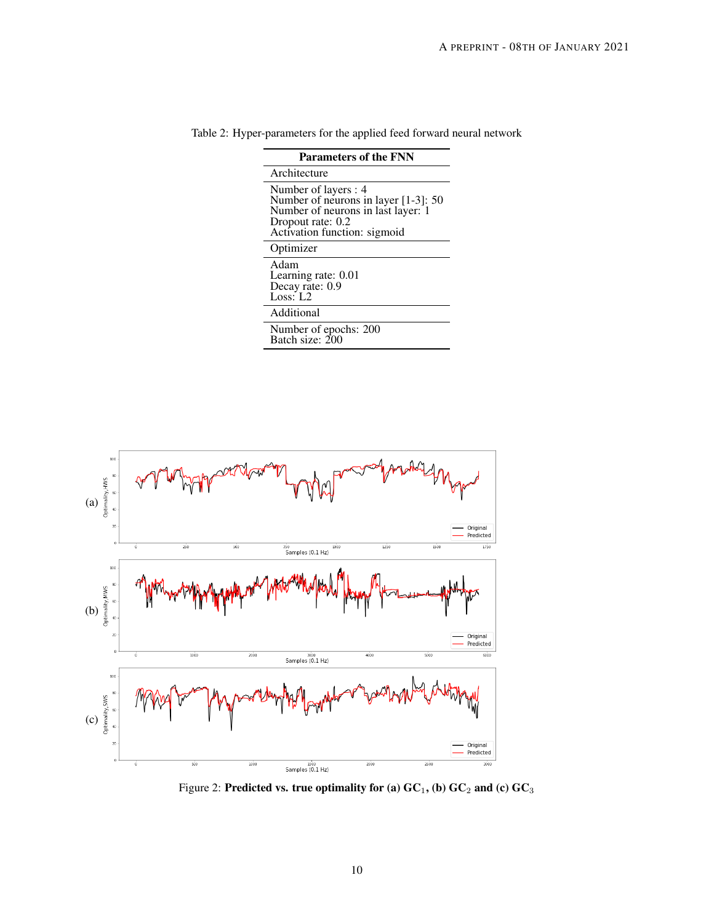| <b>Parameters of the FNN</b>                                                                                                                            |  |  |  |  |  |  |  |
|---------------------------------------------------------------------------------------------------------------------------------------------------------|--|--|--|--|--|--|--|
| Architecture                                                                                                                                            |  |  |  |  |  |  |  |
| Number of layers : 4<br>Number of neurons in layer [1-3]: 50<br>Number of neurons in last layer: 1<br>Dropout rate: 0.2<br>Activation function: sigmoid |  |  |  |  |  |  |  |
| Optimizer                                                                                                                                               |  |  |  |  |  |  |  |
| Adam<br>Learning rate: 0.01<br>Decay rate: 0.9<br>Loss: $1.2$                                                                                           |  |  |  |  |  |  |  |
| Additional                                                                                                                                              |  |  |  |  |  |  |  |
| Number of epochs: 200<br>Batch size: 200                                                                                                                |  |  |  |  |  |  |  |

<span id="page-9-0"></span>Table 2: Hyper-parameters for the applied feed forward neural network



<span id="page-9-1"></span>Figure 2: Predicted vs. true optimality for (a)  $GC<sub>1</sub>$ , (b)  $GC<sub>2</sub>$  and (c)  $GC<sub>3</sub>$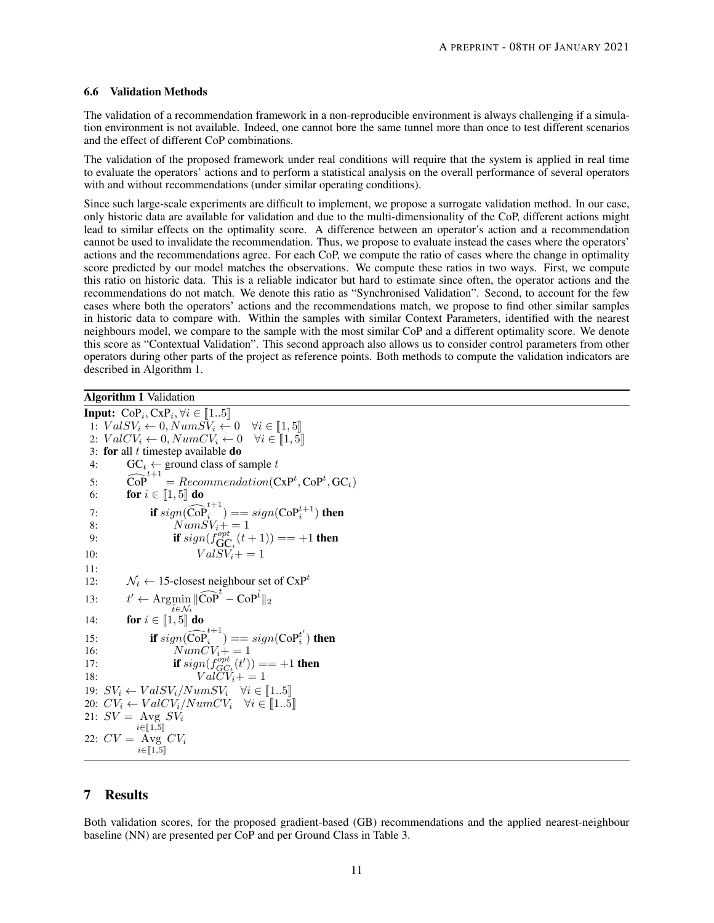#### 6.6 Validation Methods

The validation of a recommendation framework in a non-reproducible environment is always challenging if a simulation environment is not available. Indeed, one cannot bore the same tunnel more than once to test different scenarios and the effect of different CoP combinations.

The validation of the proposed framework under real conditions will require that the system is applied in real time to evaluate the operators' actions and to perform a statistical analysis on the overall performance of several operators with and without recommendations (under similar operating conditions).

Since such large-scale experiments are difficult to implement, we propose a surrogate validation method. In our case, only historic data are available for validation and due to the multi-dimensionality of the CoP, different actions might lead to similar effects on the optimality score. A difference between an operator's action and a recommendation cannot be used to invalidate the recommendation. Thus, we propose to evaluate instead the cases where the operators' actions and the recommendations agree. For each CoP, we compute the ratio of cases where the change in optimality score predicted by our model matches the observations. We compute these ratios in two ways. First, we compute this ratio on historic data. This is a reliable indicator but hard to estimate since often, the operator actions and the recommendations do not match. We denote this ratio as "Synchronised Validation". Second, to account for the few cases where both the operators' actions and the recommendations match, we propose to find other similar samples in historic data to compare with. Within the samples with similar Context Parameters, identified with the nearest neighbours model, we compare to the sample with the most similar CoP and a different optimality score. We denote this score as "Contextual Validation". This second approach also allows us to consider control parameters from other operators during other parts of the project as reference points. Both methods to compute the validation indicators are described in Algorithm [1.](#page-10-0)

Algorithm 1 Validation

<span id="page-10-0"></span>**Input:**  $\text{CoP}_i, \text{CxP}_i, \forall i \in [1..5]$ <br>
1:  $\text{VolSV} \leftarrow 0$   $\text{NumSV} \leftarrow$ 1:  $ValSV_i \leftarrow 0, NumSV_i \leftarrow 0 \quad \forall i \in [1, 5]$ 2:  $ValCV_i \leftarrow 0, NumCV_i \leftarrow 0 \quad \forall i \in [1, 5]$ 3: for all  $t$  timestep available do 4:  $\mathbf{GC}_t \leftarrow \text{ground class of sample } t$ 5:  $\widehat{\text{Cop}}^{t+1} = Recommendation(\text{CxP}^t, \text{CoP}^t, \text{GC}_t)$ 6: **for**  $i \in [\![1, 5]\!]$  **do** 7: **if**  $sign(\widehat{\mathrm{CoP}}_i^{t+1}) = sign(\mathrm{CoP}_i^{t+1})$  then 8:  $NumSV_i += 1$ 9: **if**  $sign(f_{\text{GC}_{t}}^{opt}(t+1)) == +1$  **then** 10:  $ValSV_i += 1$ 11: 12:  $N_t \leftarrow$  15-closest neighbour set of  $CxP^t$  $13:$  $\mathcal{C} \leftarrow \operatorname{Argmin}_{\hat{t} \in \mathcal{N}_{\star}} \|\widehat{\text{CoP}}^{\hat{t}} - \text{CoP}^{\hat{t}}\|_2$  $\hat{t} \in \mathcal{N}_t$ 14: **for**  $i \in [1, 5]$  **do**<br>15: **if** sign( $\widehat{\text{CoF}}$ 15: **if**  $sign(\widehat{COP}_i^{t+1}) = sign(COP_i^{t'})$  then 15:  $\mathbf{n} \, \text{sign}(\text{Cor}_i) = \text{sign}(\text{Cor}_i)$ <br>  $\text{NumCV}_i + 1 = 1$ 17: **if**  $sign(f_{GC_t}^{opt}(t')) == +1$  then 18:  $Val\ddot{CV}_i += 1$ 19:  $SV_i \leftarrow ValSV_i / NumSV_i \quad \forall i \in [\![1..5]\!]$ <br>20:  $CV_i \leftarrow ValCV_i / NumCV_i \quad \forall i \in [\![1..5]\!]$ 20:  $CV_i \leftarrow ValCV_i / NumCV_i \quad \forall i \in [\![1..5]\!]$ <br>21:  $SV = \text{Avg SV}$ 21:  $SV = \text{Avg } SV_i$  $i \in \llbracket 1, 5 \rrbracket$ 22:  $CV = Avg CV_i$  $i \in \llbracket 1, 5 \rrbracket$ 

# 7 Results

Both validation scores, for the proposed gradient-based (GB) recommendations and the applied nearest-neighbour baseline (NN) are presented per CoP and per Ground Class in Table [3.](#page-11-0)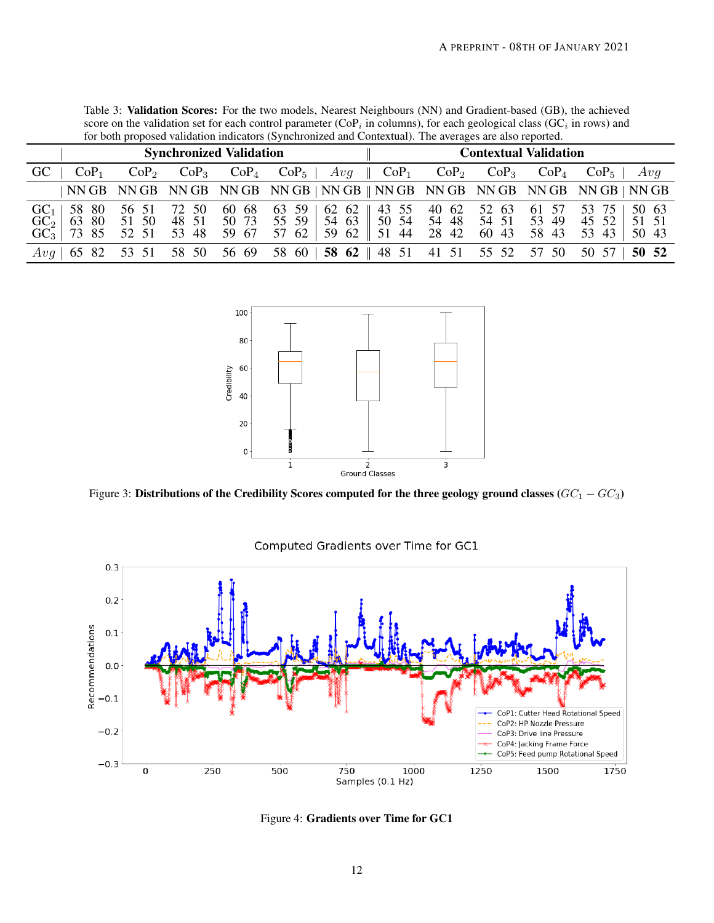| for both proposed validation indicators (Synchronized and Contextual). The averages are also reported. |                                 |                               |                |                |                                            |                                                                                                                 |                              |         |                  |                                                                                |  |
|--------------------------------------------------------------------------------------------------------|---------------------------------|-------------------------------|----------------|----------------|--------------------------------------------|-----------------------------------------------------------------------------------------------------------------|------------------------------|---------|------------------|--------------------------------------------------------------------------------|--|
| <b>Synchronized Validation</b>                                                                         |                                 |                               |                |                |                                            |                                                                                                                 | <b>Contextual Validation</b> |         |                  |                                                                                |  |
| <b>GC</b>                                                                                              | CoP <sub>1</sub>                | CoP <sub>2</sub>              | $CoP_3$        |                | $CoP_4$ $CoP_5$   $Avg$    $CoP_1$ $CoP_2$ |                                                                                                                 |                              | $CoP_3$ | CoP <sub>4</sub> | $CoP_5$  <br>Avq                                                               |  |
|                                                                                                        |                                 |                               |                |                |                                            |                                                                                                                 |                              |         |                  | NN GB NN GB NN GB NN GB NN GB   NN GB    NN GB NN GB NN GB NN GB NN GB   NN GB |  |
| GC <sub>1</sub><br>$GC3-$                                                                              | 58 80<br>$GC2$   63 80<br>73 85 | 56 51 72 50<br>51 50<br>52 51 | 48 51<br>53 48 | 60 68<br>50 73 | 59 67 57 62                                | 63 59   62 62    43 55 40 62 52 63 61 57<br>55 59   54 63    50 54 54 48 54 51 53 49<br>59 62 51 44 28 42 60 43 |                              |         | 58 43            | 53 75  <br>50 63<br>45 52  <br>51 51<br>53 43<br>50 43                         |  |
|                                                                                                        | Avg   65 82                     | 53 51                         | 58 50          | 56 69          |                                            | 58 60   58 62    48 51 41 51 55 52 57 50                                                                        |                              |         |                  | 50 52<br>50 57                                                                 |  |

<span id="page-11-0"></span>Table 3: Validation Scores: For the two models, Nearest Neighbours (NN) and Gradient-based (GB), the achieved score on the validation set for each control parameter ( $COP_i$  in columns), for each geological class (GC<sub>i</sub> in rows) and for both proposed validation indicators (Synchronized and Contextual). The averages are also reported.



Figure 3: Distributions of the Credibility Scores computed for the three geology ground classes ( $GC<sub>1</sub> - GC<sub>3</sub>$ )



# <span id="page-11-2"></span>Computed Gradients over Time for GC1

<span id="page-11-1"></span>Figure 4: Gradients over Time for GC1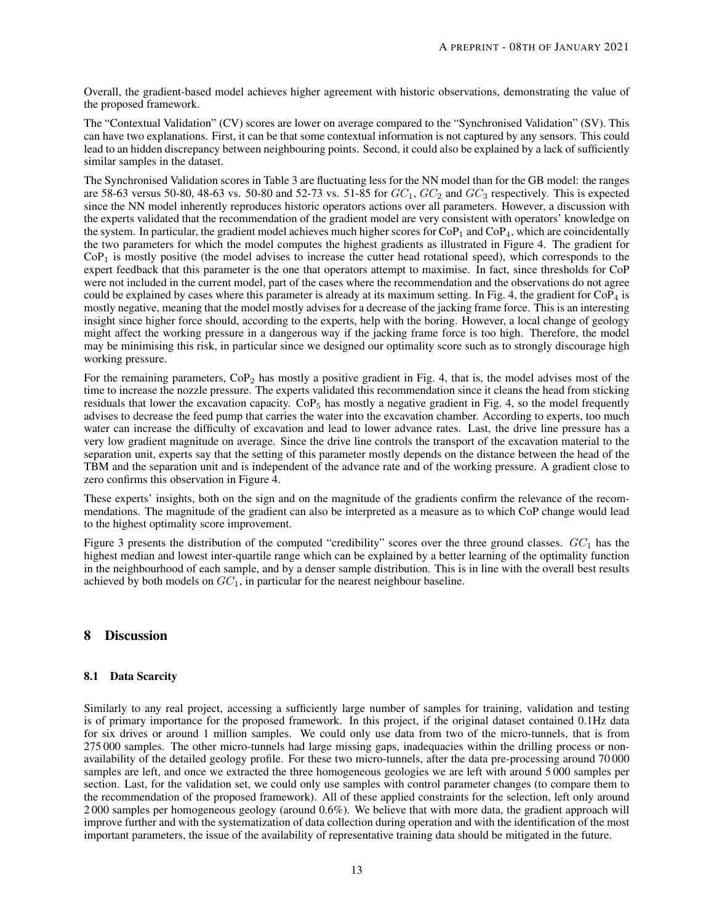Overall, the gradient-based model achieves higher agreement with historic observations, demonstrating the value of the proposed framework.

The "Contextual Validation" (CV) scores are lower on average compared to the "Synchronised Validation" (SV). This can have two explanations. First, it can be that some contextual information is not captured by any sensors. This could lead to an hidden discrepancy between neighbouring points. Second, it could also be explained by a lack of sufficiently similar samples in the dataset.

The Synchronised Validation scores in Table [3](#page-11-0) are fluctuating less for the NN model than for the GB model: the ranges are 58-63 versus 50-80, 48-63 vs. 50-80 and 52-73 vs. 51-85 for  $GC_1$ ,  $GC_2$  and  $GC_3$  respectively. This is expected since the NN model inherently reproduces historic operators actions over all parameters. However, a discussion with the experts validated that the recommendation of the gradient model are very consistent with operators' knowledge on the system. In particular, the gradient model achieves much higher scores for  $\text{CoP}_1$  and  $\text{CoP}_4$ , which are coincidentally the two parameters for which the model computes the highest gradients as illustrated in Figure [4.](#page-11-1) The gradient for  $CoP<sub>1</sub>$  is mostly positive (the model advises to increase the cutter head rotational speed), which corresponds to the expert feedback that this parameter is the one that operators attempt to maximise. In fact, since thresholds for CoP were not included in the current model, part of the cases where the recommendation and the observations do not agree could be explained by cases where this parameter is already at its maximum setting. In Fig. [4,](#page-11-1) the gradient for  $\text{COP}_4$  is mostly negative, meaning that the model mostly advises for a decrease of the jacking frame force. This is an interesting insight since higher force should, according to the experts, help with the boring. However, a local change of geology might affect the working pressure in a dangerous way if the jacking frame force is too high. Therefore, the model may be minimising this risk, in particular since we designed our optimality score such as to strongly discourage high working pressure.

For the remaining parameters,  $\text{CoP}_2$  has mostly a positive gradient in Fig. [4,](#page-11-1) that is, the model advises most of the time to increase the nozzle pressure. The experts validated this recommendation since it cleans the head from sticking residuals that lower the excavation capacity.  $CoP<sub>5</sub>$  has mostly a negative gradient in Fig. [4,](#page-11-1) so the model frequently advises to decrease the feed pump that carries the water into the excavation chamber. According to experts, too much water can increase the difficulty of excavation and lead to lower advance rates. Last, the drive line pressure has a very low gradient magnitude on average. Since the drive line controls the transport of the excavation material to the separation unit, experts say that the setting of this parameter mostly depends on the distance between the head of the TBM and the separation unit and is independent of the advance rate and of the working pressure. A gradient close to zero confirms this observation in Figure [4.](#page-11-1)

These experts' insights, both on the sign and on the magnitude of the gradients confirm the relevance of the recommendations. The magnitude of the gradient can also be interpreted as a measure as to which CoP change would lead to the highest optimality score improvement.

Figure [3](#page-11-2) presents the distribution of the computed "credibility" scores over the three ground classes.  $GC<sub>1</sub>$  has the highest median and lowest inter-quartile range which can be explained by a better learning of the optimality function in the neighbourhood of each sample, and by a denser sample distribution. This is in line with the overall best results achieved by both models on  $GC<sub>1</sub>$ , in particular for the nearest neighbour baseline.

# 8 Discussion

## 8.1 Data Scarcity

Similarly to any real project, accessing a sufficiently large number of samples for training, validation and testing is of primary importance for the proposed framework. In this project, if the original dataset contained 0.1Hz data for six drives or around 1 million samples. We could only use data from two of the micro-tunnels, that is from 275 000 samples. The other micro-tunnels had large missing gaps, inadequacies within the drilling process or nonavailability of the detailed geology profile. For these two micro-tunnels, after the data pre-processing around 70 000 samples are left, and once we extracted the three homogeneous geologies we are left with around 5 000 samples per section. Last, for the validation set, we could only use samples with control parameter changes (to compare them to the recommendation of the proposed framework). All of these applied constraints for the selection, left only around 2 000 samples per homogeneous geology (around 0.6%). We believe that with more data, the gradient approach will improve further and with the systematization of data collection during operation and with the identification of the most important parameters, the issue of the availability of representative training data should be mitigated in the future.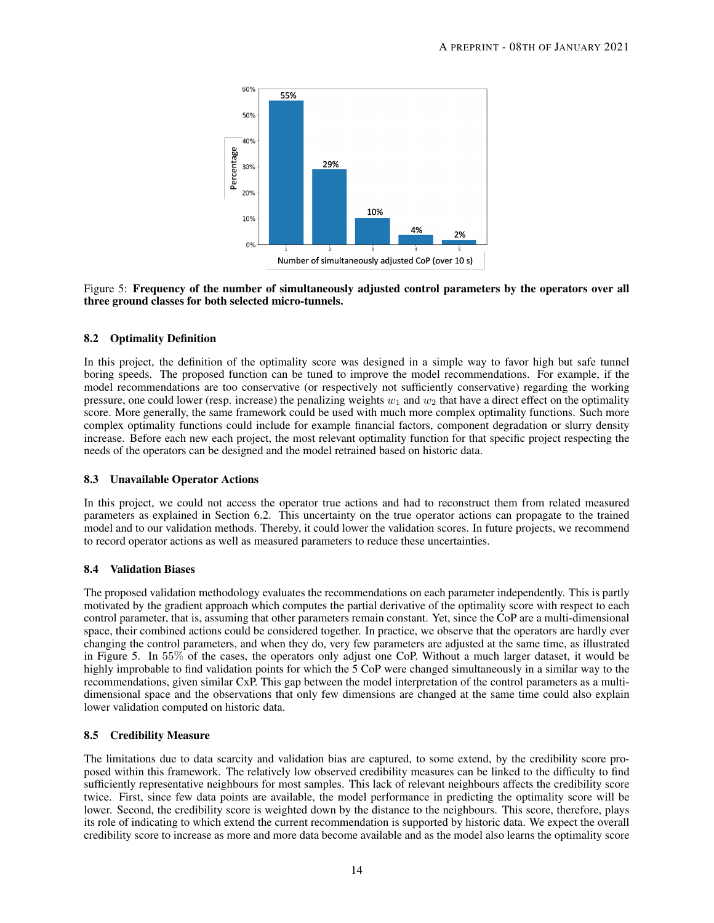<span id="page-13-0"></span>

Figure 5: Frequency of the number of simultaneously adjusted control parameters by the operators over all three ground classes for both selected micro-tunnels.

# 8.2 Optimality Definition

In this project, the definition of the optimality score was designed in a simple way to favor high but safe tunnel boring speeds. The proposed function can be tuned to improve the model recommendations. For example, if the model recommendations are too conservative (or respectively not sufficiently conservative) regarding the working pressure, one could lower (resp. increase) the penalizing weights  $w_1$  and  $w_2$  that have a direct effect on the optimality score. More generally, the same framework could be used with much more complex optimality functions. Such more complex optimality functions could include for example financial factors, component degradation or slurry density increase. Before each new each project, the most relevant optimality function for that specific project respecting the needs of the operators can be designed and the model retrained based on historic data.

## 8.3 Unavailable Operator Actions

In this project, we could not access the operator true actions and had to reconstruct them from related measured parameters as explained in Section [6.2.](#page-7-0) This uncertainty on the true operator actions can propagate to the trained model and to our validation methods. Thereby, it could lower the validation scores. In future projects, we recommend to record operator actions as well as measured parameters to reduce these uncertainties.

## 8.4 Validation Biases

The proposed validation methodology evaluates the recommendations on each parameter independently. This is partly motivated by the gradient approach which computes the partial derivative of the optimality score with respect to each control parameter, that is, assuming that other parameters remain constant. Yet, since the CoP are a multi-dimensional space, their combined actions could be considered together. In practice, we observe that the operators are hardly ever changing the control parameters, and when they do, very few parameters are adjusted at the same time, as illustrated in Figure [5.](#page-13-0) In 55% of the cases, the operators only adjust one CoP. Without a much larger dataset, it would be highly improbable to find validation points for which the 5 CoP were changed simultaneously in a similar way to the recommendations, given similar CxP. This gap between the model interpretation of the control parameters as a multidimensional space and the observations that only few dimensions are changed at the same time could also explain lower validation computed on historic data.

## 8.5 Credibility Measure

The limitations due to data scarcity and validation bias are captured, to some extend, by the credibility score proposed within this framework. The relatively low observed credibility measures can be linked to the difficulty to find sufficiently representative neighbours for most samples. This lack of relevant neighbours affects the credibility score twice. First, since few data points are available, the model performance in predicting the optimality score will be lower. Second, the credibility score is weighted down by the distance to the neighbours. This score, therefore, plays its role of indicating to which extend the current recommendation is supported by historic data. We expect the overall credibility score to increase as more and more data become available and as the model also learns the optimality score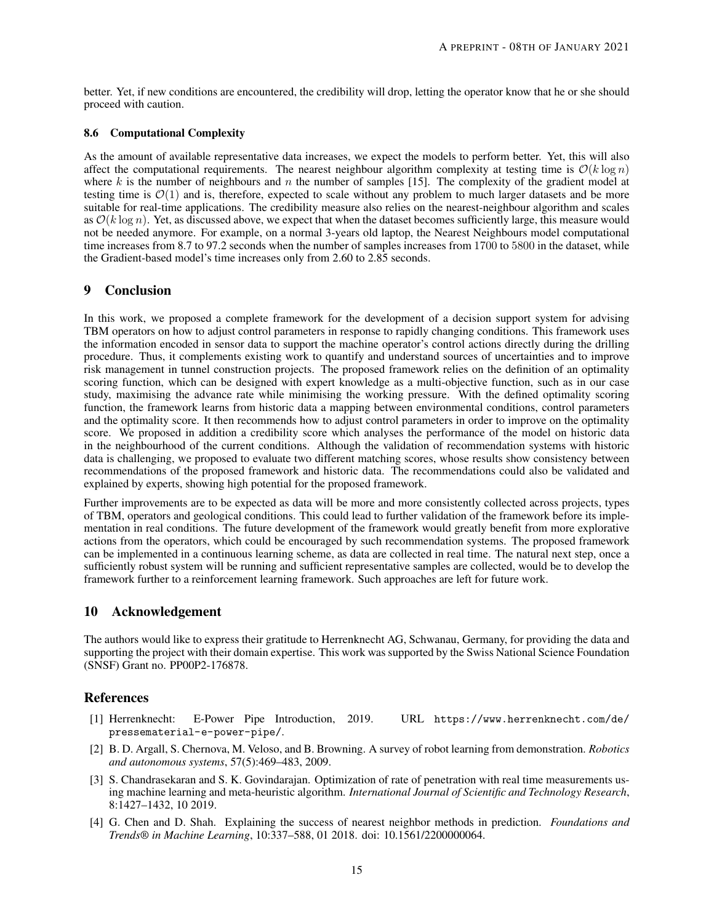better. Yet, if new conditions are encountered, the credibility will drop, letting the operator know that he or she should proceed with caution.

## 8.6 Computational Complexity

As the amount of available representative data increases, we expect the models to perform better. Yet, this will also affect the computational requirements. The nearest neighbour algorithm complexity at testing time is  $O(k \log n)$ where k is the number of neighbours and n the number of samples [\[15\]](#page-15-19). The complexity of the gradient model at testing time is  $\mathcal{O}(1)$  and is, therefore, expected to scale without any problem to much larger datasets and be more suitable for real-time applications. The credibility measure also relies on the nearest-neighbour algorithm and scales as  $\mathcal{O}(k \log n)$ . Yet, as discussed above, we expect that when the dataset becomes sufficiently large, this measure would not be needed anymore. For example, on a normal 3-years old laptop, the Nearest Neighbours model computational time increases from 8.7 to 97.2 seconds when the number of samples increases from 1700 to 5800 in the dataset, while the Gradient-based model's time increases only from 2.60 to 2.85 seconds.

# 9 Conclusion

In this work, we proposed a complete framework for the development of a decision support system for advising TBM operators on how to adjust control parameters in response to rapidly changing conditions. This framework uses the information encoded in sensor data to support the machine operator's control actions directly during the drilling procedure. Thus, it complements existing work to quantify and understand sources of uncertainties and to improve risk management in tunnel construction projects. The proposed framework relies on the definition of an optimality scoring function, which can be designed with expert knowledge as a multi-objective function, such as in our case study, maximising the advance rate while minimising the working pressure. With the defined optimality scoring function, the framework learns from historic data a mapping between environmental conditions, control parameters and the optimality score. It then recommends how to adjust control parameters in order to improve on the optimality score. We proposed in addition a credibility score which analyses the performance of the model on historic data in the neighbourhood of the current conditions. Although the validation of recommendation systems with historic data is challenging, we proposed to evaluate two different matching scores, whose results show consistency between recommendations of the proposed framework and historic data. The recommendations could also be validated and explained by experts, showing high potential for the proposed framework.

Further improvements are to be expected as data will be more and more consistently collected across projects, types of TBM, operators and geological conditions. This could lead to further validation of the framework before its implementation in real conditions. The future development of the framework would greatly benefit from more explorative actions from the operators, which could be encouraged by such recommendation systems. The proposed framework can be implemented in a continuous learning scheme, as data are collected in real time. The natural next step, once a sufficiently robust system will be running and sufficient representative samples are collected, would be to develop the framework further to a reinforcement learning framework. Such approaches are left for future work.

# 10 Acknowledgement

The authors would like to express their gratitude to Herrenknecht AG, Schwanau, Germany, for providing the data and supporting the project with their domain expertise. This work was supported by the Swiss National Science Foundation (SNSF) Grant no. PP00P2-176878.

# **References**

- <span id="page-14-2"></span>[1] Herrenknecht: E-Power Pipe Introduction, 2019. URL [https://www.herrenknecht.com/de/](https://www.herrenknecht.com/de/pressematerial-e-power-pipe/) [pressematerial-e-power-pipe/](https://www.herrenknecht.com/de/pressematerial-e-power-pipe/).
- <span id="page-14-1"></span>[2] B. D. Argall, S. Chernova, M. Veloso, and B. Browning. A survey of robot learning from demonstration. *Robotics and autonomous systems*, 57(5):469–483, 2009.
- <span id="page-14-0"></span>[3] S. Chandrasekaran and S. K. Govindarajan. Optimization of rate of penetration with real time measurements using machine learning and meta-heuristic algorithm. *International Journal of Scientific and Technology Research*, 8:1427–1432, 10 2019.
- <span id="page-14-3"></span>[4] G. Chen and D. Shah. Explaining the success of nearest neighbor methods in prediction. *Foundations and Trends® in Machine Learning*, 10:337–588, 01 2018. doi: 10.1561/2200000064.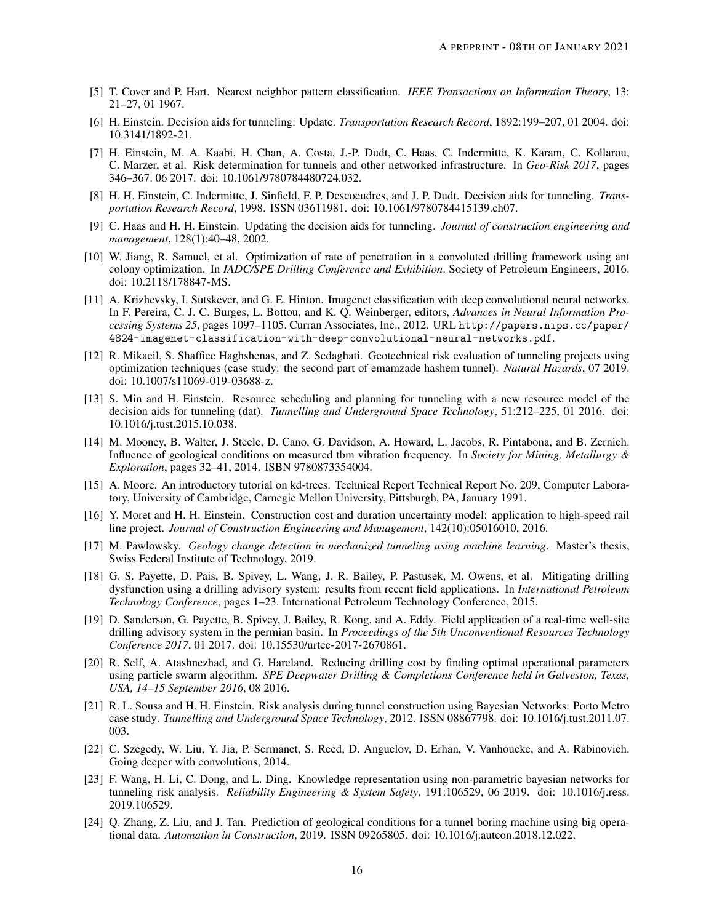- <span id="page-15-18"></span>[5] T. Cover and P. Hart. Nearest neighbor pattern classification. *IEEE Transactions on Information Theory*, 13: 21–27, 01 1967.
- <span id="page-15-1"></span>[6] H. Einstein. Decision aids for tunneling: Update. *Transportation Research Record*, 1892:199–207, 01 2004. doi: 10.3141/1892-21.
- <span id="page-15-11"></span>[7] H. Einstein, M. A. Kaabi, H. Chan, A. Costa, J.-P. Dudt, C. Haas, C. Indermitte, K. Karam, C. Kollarou, C. Marzer, et al. Risk determination for tunnels and other networked infrastructure. In *Geo-Risk 2017*, pages 346–367. 06 2017. doi: 10.1061/9780784480724.032.
- <span id="page-15-0"></span>[8] H. H. Einstein, C. Indermitte, J. Sinfield, F. P. Descoeudres, and J. P. Dudt. Decision aids for tunneling. *Transportation Research Record*, 1998. ISSN 03611981. doi: 10.1061/9780784415139.ch07.
- <span id="page-15-2"></span>[9] C. Haas and H. H. Einstein. Updating the decision aids for tunneling. *Journal of construction engineering and management*, 128(1):40–48, 2002.
- <span id="page-15-10"></span>[10] W. Jiang, R. Samuel, et al. Optimization of rate of penetration in a convoluted drilling framework using ant colony optimization. In *IADC/SPE Drilling Conference and Exhibition*. Society of Petroleum Engineers, 2016. doi: 10.2118/178847-MS.
- <span id="page-15-15"></span>[11] A. Krizhevsky, I. Sutskever, and G. E. Hinton. Imagenet classification with deep convolutional neural networks. In F. Pereira, C. J. C. Burges, L. Bottou, and K. Q. Weinberger, editors, *Advances in Neural Information Processing Systems 25*, pages 1097–1105. Curran Associates, Inc., 2012. URL [http://papers.nips.cc/paper/](http://papers.nips.cc/paper/4824-imagenet-classification-with-deep-convolutional-neural-networks.pdf) [4824-imagenet-classification-with-deep-convolutional-neural-networks.pdf](http://papers.nips.cc/paper/4824-imagenet-classification-with-deep-convolutional-neural-networks.pdf).
- <span id="page-15-12"></span>[12] R. Mikaeil, S. Shaffiee Haghshenas, and Z. Sedaghati. Geotechnical risk evaluation of tunneling projects using optimization techniques (case study: the second part of emamzade hashem tunnel). *Natural Hazards*, 07 2019. doi: 10.1007/s11069-019-03688-z.
- <span id="page-15-3"></span>[13] S. Min and H. Einstein. Resource scheduling and planning for tunneling with a new resource model of the decision aids for tunneling (dat). *Tunnelling and Underground Space Technology*, 51:212–225, 01 2016. doi: 10.1016/j.tust.2015.10.038.
- <span id="page-15-6"></span>[14] M. Mooney, B. Walter, J. Steele, D. Cano, G. Davidson, A. Howard, L. Jacobs, R. Pintabona, and B. Zernich. Influence of geological conditions on measured tbm vibration frequency. In *Society for Mining, Metallurgy & Exploration*, pages 32–41, 2014. ISBN 9780873354004.
- <span id="page-15-19"></span>[15] A. Moore. An introductory tutorial on kd-trees. Technical Report Technical Report No. 209, Computer Laboratory, University of Cambridge, Carnegie Mellon University, Pittsburgh, PA, January 1991.
- <span id="page-15-4"></span>[16] Y. Moret and H. H. Einstein. Construction cost and duration uncertainty model: application to high-speed rail line project. *Journal of Construction Engineering and Management*, 142(10):05016010, 2016.
- <span id="page-15-14"></span>[17] M. Pawlowsky. *Geology change detection in mechanized tunneling using machine learning*. Master's thesis, Swiss Federal Institute of Technology, 2019.
- <span id="page-15-7"></span>[18] G. S. Payette, D. Pais, B. Spivey, L. Wang, J. R. Bailey, P. Pastusek, M. Owens, et al. Mitigating drilling dysfunction using a drilling advisory system: results from recent field applications. In *International Petroleum Technology Conference*, pages 1–23. International Petroleum Technology Conference, 2015.
- <span id="page-15-8"></span>[19] D. Sanderson, G. Payette, B. Spivey, J. Bailey, R. Kong, and A. Eddy. Field application of a real-time well-site drilling advisory system in the permian basin. In *Proceedings of the 5th Unconventional Resources Technology Conference 2017*, 01 2017. doi: 10.15530/urtec-2017-2670861.
- <span id="page-15-9"></span>[20] R. Self, A. Atashnezhad, and G. Hareland. Reducing drilling cost by finding optimal operational parameters using particle swarm algorithm. *SPE Deepwater Drilling & Completions Conference held in Galveston, Texas, USA, 14–15 September 2016*, 08 2016.
- <span id="page-15-5"></span>[21] R. L. Sousa and H. H. Einstein. Risk analysis during tunnel construction using Bayesian Networks: Porto Metro case study. *Tunnelling and Underground Space Technology*, 2012. ISSN 08867798. doi: 10.1016/j.tust.2011.07. 003.
- <span id="page-15-16"></span>[22] C. Szegedy, W. Liu, Y. Jia, P. Sermanet, S. Reed, D. Anguelov, D. Erhan, V. Vanhoucke, and A. Rabinovich. Going deeper with convolutions, 2014.
- <span id="page-15-13"></span>[23] F. Wang, H. Li, C. Dong, and L. Ding. Knowledge representation using non-parametric bayesian networks for tunneling risk analysis. *Reliability Engineering & System Safety*, 191:106529, 06 2019. doi: 10.1016/j.ress. 2019.106529.
- <span id="page-15-17"></span>[24] Q. Zhang, Z. Liu, and J. Tan. Prediction of geological conditions for a tunnel boring machine using big operational data. *Automation in Construction*, 2019. ISSN 09265805. doi: 10.1016/j.autcon.2018.12.022.